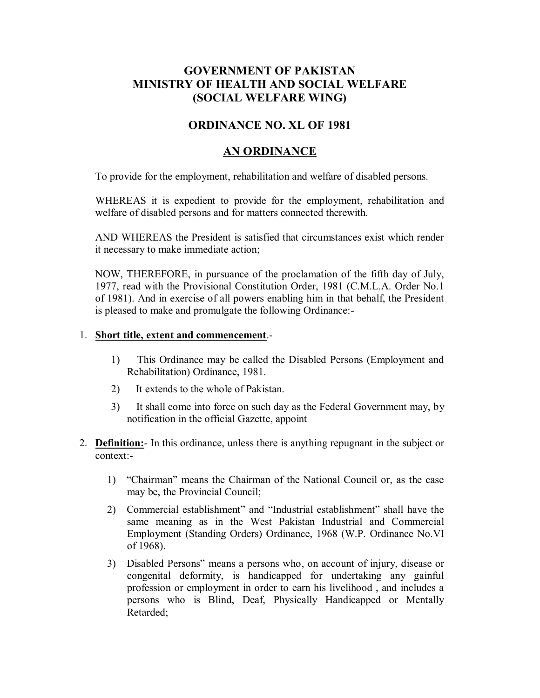# **GOVERNMENT OF PAKISTAN MINISTRY OF HEALTH AND SOCIAL WELFARE (SOCIAL WELFARE WING)**

## **ORDINANCE NO. XL OF 1981**

## **AN ORDINANCE**

To provide for the employment, rehabilitation and welfare of disabled persons.

WHEREAS it is expedient to provide for the employment, rehabilitation and welfare of disabled persons and for matters connected therewith.

AND WHEREAS the President is satisfied that circumstances exist which render it necessary to make immediate action;

NOW, THEREFORE, in pursuance of the proclamation of the fifth day of July, 1977, read with the Provisional Constitution Order, 1981 (C.M.L.A. Order No.1 of 1981). And in exercise of all powers enabling him in that behalf, the President is pleased to make and promulgate the following Ordinance:-

#### 1. **Short title, extent and commencement**.-

- 1) This Ordinance may be called the Disabled Persons (Employment and Rehabilitation) Ordinance, 1981.
- 2) It extends to the whole of Pakistan.
- 3) It shall come into force on such day as the Federal Government may, by notification in the official Gazette, appoint
- 2. **Definition:** In this ordinance, unless there is anything repugnant in the subject or context:-
	- 1) "Chairman" means the Chairman of the National Council or, as the case may be, the Provincial Council;
	- 2) Commercial establishment" and "Industrial establishment" shall have the same meaning as in the West Pakistan Industrial and Commercial Employment (Standing Orders) Ordinance, 1968 (W.P. Ordinance No.VI of 1968).
	- 3) Disabled Persons" means a persons who, on account of injury, disease or congenital deformity, is handicapped for undertaking any gainful profession or employment in order to earn his livelihood , and includes a persons who is Blind, Deaf, Physically Handicapped or Mentally Retarded;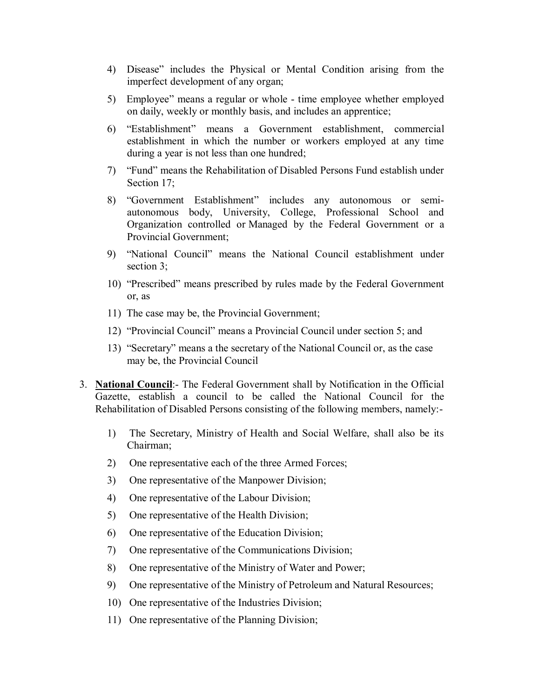- 4) Disease" includes the Physical or Mental Condition arising from the imperfect development of any organ;
- 5) Employee" means a regular or whole time employee whether employed on daily, weekly or monthly basis, and includes an apprentice;
- 6) "Establishment" means a Government establishment, commercial establishment in which the number or workers employed at any time during a year is not less than one hundred;
- 7) "Fund" means the Rehabilitation of Disabled Persons Fund establish under Section 17;
- 8) "Government Establishment" includes any autonomous or semiautonomous body, University, College, Professional School and Organization controlled or Managed by the Federal Government or a Provincial Government;
- 9) "National Council" means the National Council establishment under section 3;
- 10) "Prescribed" means prescribed by rules made by the Federal Government or, as
- 11) The case may be, the Provincial Government;
- 12) "Provincial Council" means a Provincial Council under section 5; and
- 13) "Secretary" means a the secretary of the National Council or, as the case may be, the Provincial Council
- 3. **National Council**:- The Federal Government shall by Notification in the Official Gazette, establish a council to be called the National Council for the Rehabilitation of Disabled Persons consisting of the following members, namely:-
	- 1) The Secretary, Ministry of Health and Social Welfare, shall also be its Chairman;
	- 2) One representative each of the three Armed Forces;
	- 3) One representative of the Manpower Division;
	- 4) One representative of the Labour Division;
	- 5) One representative of the Health Division;
	- 6) One representative of the Education Division;
	- 7) One representative of the Communications Division;
	- 8) One representative of the Ministry of Water and Power;
	- 9) One representative of the Ministry of Petroleum and Natural Resources;
	- 10) One representative of the Industries Division;
	- 11) One representative of the Planning Division;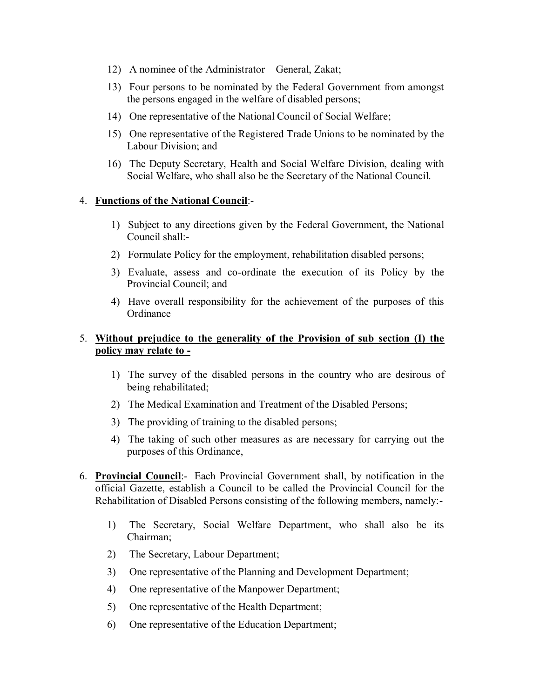- 12) A nominee of the Administrator General, Zakat;
- 13) Four persons to be nominated by the Federal Government from amongst the persons engaged in the welfare of disabled persons;
- 14) One representative of the National Council of Social Welfare;
- 15) One representative of the Registered Trade Unions to be nominated by the Labour Division; and
- 16) The Deputy Secretary, Health and Social Welfare Division, dealing with Social Welfare, who shall also be the Secretary of the National Council.

#### 4. **Functions of the National Council**:-

- 1) Subject to any directions given by the Federal Government, the National Council shall:-
- 2) Formulate Policy for the employment, rehabilitation disabled persons;
- 3) Evaluate, assess and co-ordinate the execution of its Policy by the Provincial Council; and
- 4) Have overall responsibility for the achievement of the purposes of this **Ordinance**

## 5. **Without prejudice to the generality of the Provision of sub section (I) the policy may relate to -**

- 1) The survey of the disabled persons in the country who are desirous of being rehabilitated;
- 2) The Medical Examination and Treatment of the Disabled Persons;
- 3) The providing of training to the disabled persons;
- 4) The taking of such other measures as are necessary for carrying out the purposes of this Ordinance,
- 6. **Provincial Council**:- Each Provincial Government shall, by notification in the official Gazette, establish a Council to be called the Provincial Council for the Rehabilitation of Disabled Persons consisting of the following members, namely:-
	- 1) The Secretary, Social Welfare Department, who shall also be its Chairman;
	- 2) The Secretary, Labour Department;
	- 3) One representative of the Planning and Development Department;
	- 4) One representative of the Manpower Department;
	- 5) One representative of the Health Department;
	- 6) One representative of the Education Department;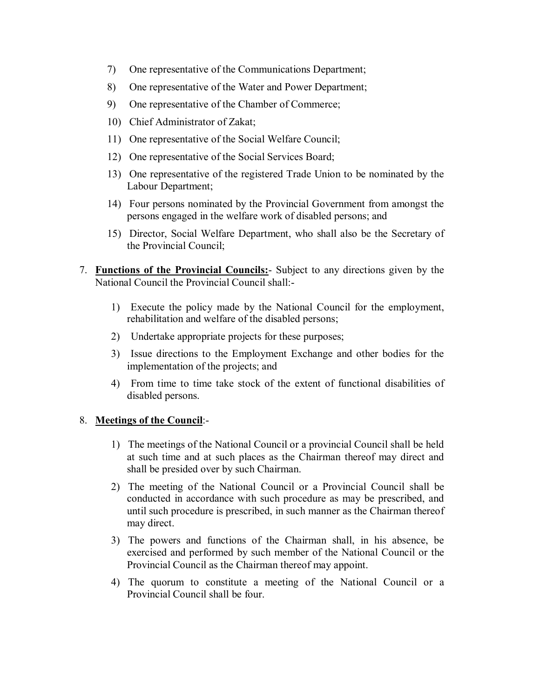- 7) One representative of the Communications Department;
- 8) One representative of the Water and Power Department;
- 9) One representative of the Chamber of Commerce;
- 10) Chief Administrator of Zakat;
- 11) One representative of the Social Welfare Council;
- 12) One representative of the Social Services Board;
- 13) One representative of the registered Trade Union to be nominated by the Labour Department;
- 14) Four persons nominated by the Provincial Government from amongst the persons engaged in the welfare work of disabled persons; and
- 15) Director, Social Welfare Department, who shall also be the Secretary of the Provincial Council;
- 7. **Functions of the Provincial Councils:** Subject to any directions given by the National Council the Provincial Council shall:-
	- 1) Execute the policy made by the National Council for the employment, rehabilitation and welfare of the disabled persons;
	- 2) Undertake appropriate projects for these purposes;
	- 3) Issue directions to the Employment Exchange and other bodies for the implementation of the projects; and
	- 4) From time to time take stock of the extent of functional disabilities of disabled persons.

## 8. **Meetings of the Council**:-

- 1) The meetings of the National Council or a provincial Council shall be held at such time and at such places as the Chairman thereof may direct and shall be presided over by such Chairman.
- 2) The meeting of the National Council or a Provincial Council shall be conducted in accordance with such procedure as may be prescribed, and until such procedure is prescribed, in such manner as the Chairman thereof may direct.
- 3) The powers and functions of the Chairman shall, in his absence, be exercised and performed by such member of the National Council or the Provincial Council as the Chairman thereof may appoint.
- 4) The quorum to constitute a meeting of the National Council or a Provincial Council shall be four.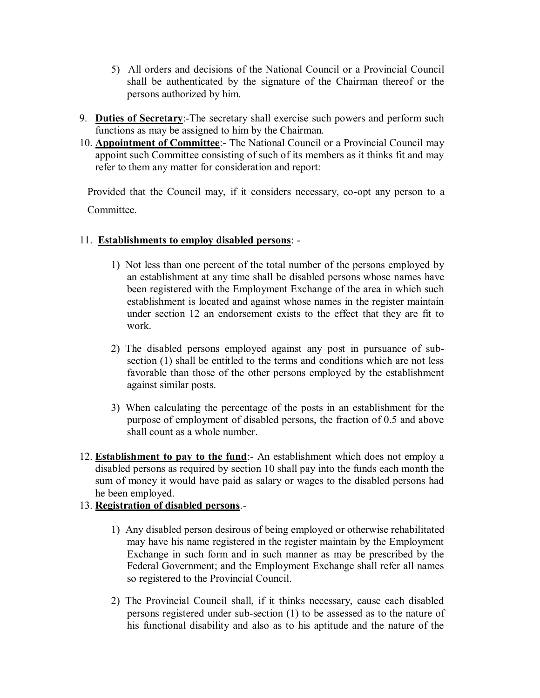- 5) All orders and decisions of the National Council or a Provincial Council shall be authenticated by the signature of the Chairman thereof or the persons authorized by him.
- 9. **Duties of Secretary**:-The secretary shall exercise such powers and perform such functions as may be assigned to him by the Chairman.
- 10. **Appointment of Committee**:- The National Council or a Provincial Council may appoint such Committee consisting of such of its members as it thinks fit and may refer to them any matter for consideration and report:

Provided that the Council may, if it considers necessary, co-opt any person to a Committee.

## 11. **Establishments to employ disabled persons**: -

- 1) Not less than one percent of the total number of the persons employed by an establishment at any time shall be disabled persons whose names have been registered with the Employment Exchange of the area in which such establishment is located and against whose names in the register maintain under section 12 an endorsement exists to the effect that they are fit to work.
- 2) The disabled persons employed against any post in pursuance of subsection (1) shall be entitled to the terms and conditions which are not less favorable than those of the other persons employed by the establishment against similar posts.
- 3) When calculating the percentage of the posts in an establishment for the purpose of employment of disabled persons, the fraction of 0.5 and above shall count as a whole number.
- 12. **Establishment to pay to the fund**:- An establishment which does not employ a disabled persons as required by section 10 shall pay into the funds each month the sum of money it would have paid as salary or wages to the disabled persons had he been employed.

## 13. **Registration of disabled persons**.-

- 1) Any disabled person desirous of being employed or otherwise rehabilitated may have his name registered in the register maintain by the Employment Exchange in such form and in such manner as may be prescribed by the Federal Government; and the Employment Exchange shall refer all names so registered to the Provincial Council.
- 2) The Provincial Council shall, if it thinks necessary, cause each disabled persons registered under sub-section (1) to be assessed as to the nature of his functional disability and also as to his aptitude and the nature of the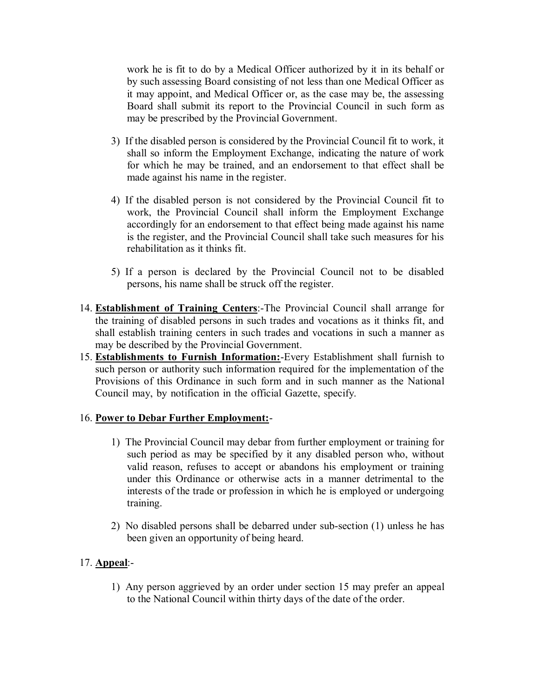work he is fit to do by a Medical Officer authorized by it in its behalf or by such assessing Board consisting of not less than one Medical Officer as it may appoint, and Medical Officer or, as the case may be, the assessing Board shall submit its report to the Provincial Council in such form as may be prescribed by the Provincial Government.

- 3) If the disabled person is considered by the Provincial Council fit to work, it shall so inform the Employment Exchange, indicating the nature of work for which he may be trained, and an endorsement to that effect shall be made against his name in the register.
- 4) If the disabled person is not considered by the Provincial Council fit to work, the Provincial Council shall inform the Employment Exchange accordingly for an endorsement to that effect being made against his name is the register, and the Provincial Council shall take such measures for his rehabilitation as it thinks fit.
- 5) If a person is declared by the Provincial Council not to be disabled persons, his name shall be struck off the register.
- 14. **Establishment of Training Centers**:-The Provincial Council shall arrange for the training of disabled persons in such trades and vocations as it thinks fit, and shall establish training centers in such trades and vocations in such a manner as may be described by the Provincial Government.
- 15. **Establishments to Furnish Information:**-Every Establishment shall furnish to such person or authority such information required for the implementation of the Provisions of this Ordinance in such form and in such manner as the National Council may, by notification in the official Gazette, specify.

#### 16. **Power to Debar Further Employment:**-

- 1) The Provincial Council may debar from further employment or training for such period as may be specified by it any disabled person who, without valid reason, refuses to accept or abandons his employment or training under this Ordinance or otherwise acts in a manner detrimental to the interests of the trade or profession in which he is employed or undergoing training.
- 2) No disabled persons shall be debarred under sub-section (1) unless he has been given an opportunity of being heard.

# 17. **Appeal**:-

1) Any person aggrieved by an order under section 15 may prefer an appeal to the National Council within thirty days of the date of the order.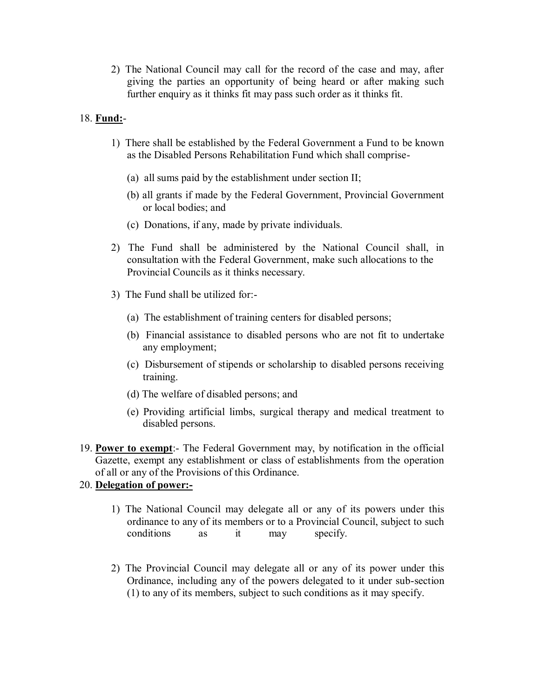2) The National Council may call for the record of the case and may, after giving the parties an opportunity of being heard or after making such further enquiry as it thinks fit may pass such order as it thinks fit.

## 18. **Fund:**-

- 1) There shall be established by the Federal Government a Fund to be known as the Disabled Persons Rehabilitation Fund which shall comprise-
	- (a) all sums paid by the establishment under section II;
	- (b) all grants if made by the Federal Government, Provincial Government or local bodies; and
	- (c) Donations, if any, made by private individuals.
- 2) The Fund shall be administered by the National Council shall, in consultation with the Federal Government, make such allocations to the Provincial Councils as it thinks necessary.
- 3) The Fund shall be utilized for:-
	- (a) The establishment of training centers for disabled persons;
	- (b) Financial assistance to disabled persons who are not fit to undertake any employment;
	- (c) Disbursement of stipends or scholarship to disabled persons receiving training.
	- (d) The welfare of disabled persons; and
	- (e) Providing artificial limbs, surgical therapy and medical treatment to disabled persons.
- 19. **Power to exempt**:- The Federal Government may, by notification in the official Gazette, exempt any establishment or class of establishments from the operation of all or any of the Provisions of this Ordinance.

## 20. **Delegation of power:-**

- 1) The National Council may delegate all or any of its powers under this ordinance to any of its members or to a Provincial Council, subject to such conditions as it may specify.
- 2) The Provincial Council may delegate all or any of its power under this Ordinance, including any of the powers delegated to it under sub-section (1) to any of its members, subject to such conditions as it may specify.